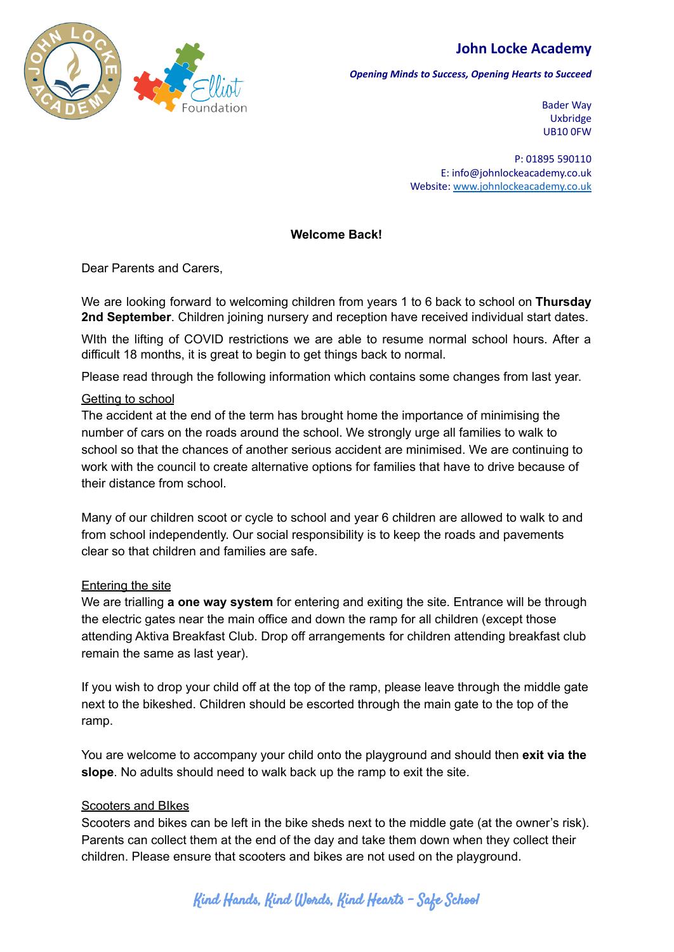



*Opening Minds to Success, Opening Hearts to Succeed*

Bader Way Uxbridge UB10 0FW

P: 01895 590110 E: info@johnlockeacademy.co.uk Website: [www.johnlockeacademy.co.uk](http://www.johnlockeacademy.co.uk)

## **Welcome Back!**

Dear Parents and Carers,

We are looking forward to welcoming children from years 1 to 6 back to school on **Thursday 2nd September**. Children joining nursery and reception have received individual start dates.

WIth the lifting of COVID restrictions we are able to resume normal school hours. After a difficult 18 months, it is great to begin to get things back to normal.

Please read through the following information which contains some changes from last year.

### Getting to school

The accident at the end of the term has brought home the importance of minimising the number of cars on the roads around the school. We strongly urge all families to walk to school so that the chances of another serious accident are minimised. We are continuing to work with the council to create alternative options for families that have to drive because of their distance from school.

Many of our children scoot or cycle to school and year 6 children are allowed to walk to and from school independently. Our social responsibility is to keep the roads and pavements clear so that children and families are safe.

## Entering the site

We are trialling **a one way system** for entering and exiting the site. Entrance will be through the electric gates near the main office and down the ramp for all children (except those attending Aktiva Breakfast Club. Drop off arrangements for children attending breakfast club remain the same as last year).

If you wish to drop your child off at the top of the ramp, please leave through the middle gate next to the bikeshed. Children should be escorted through the main gate to the top of the ramp.

You are welcome to accompany your child onto the playground and should then **exit via the slope**. No adults should need to walk back up the ramp to exit the site.

## Scooters and BIkes

Scooters and bikes can be left in the bike sheds next to the middle gate (at the owner's risk). Parents can collect them at the end of the day and take them down when they collect their children. Please ensure that scooters and bikes are not used on the playground.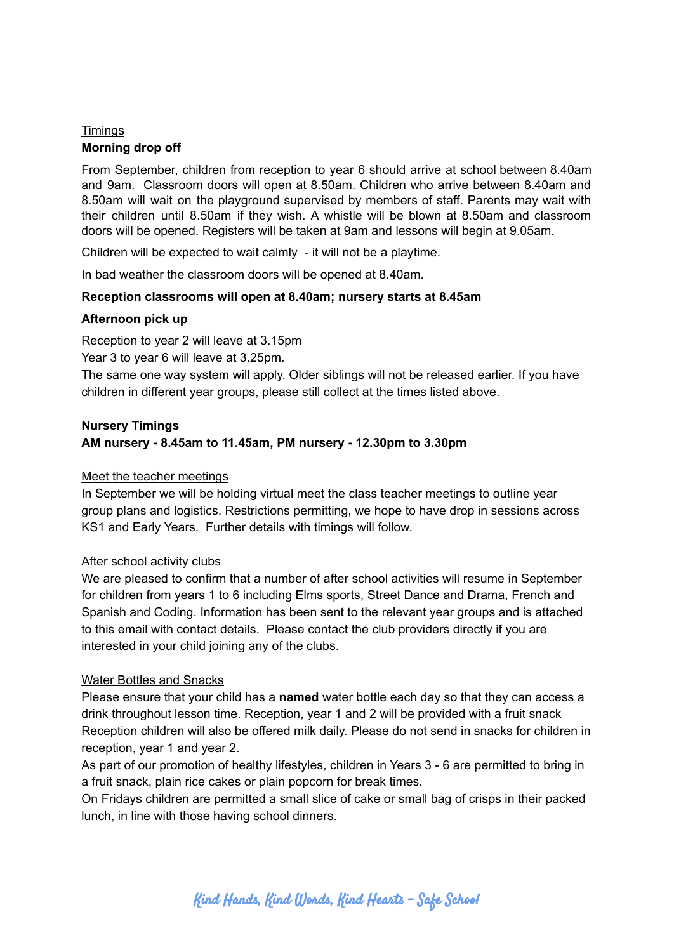# **Timings Morning drop off**

From September, children from reception to year 6 should arrive at school between 8.40am and 9am. Classroom doors will open at 8.50am. Children who arrive between 8.40am and 8.50am will wait on the playground supervised by members of staff. Parents may wait with their children until 8.50am if they wish. A whistle will be blown at 8.50am and classroom doors will be opened. Registers will be taken at 9am and lessons will begin at 9.05am.

Children will be expected to wait calmly - it will not be a playtime.

In bad weather the classroom doors will be opened at 8.40am.

## **Reception classrooms will open at 8.40am; nursery starts at 8.45am**

## **Afternoon pick up**

Reception to year 2 will leave at 3.15pm

Year 3 to year 6 will leave at 3.25pm.

The same one way system will apply. Older siblings will not be released earlier. If you have children in different year groups, please still collect at the times listed above.

# **Nursery Timings AM nursery - 8.45am to 11.45am, PM nursery - 12.30pm to 3.30pm**

#### Meet the teacher meetings

In September we will be holding virtual meet the class teacher meetings to outline year group plans and logistics. Restrictions permitting, we hope to have drop in sessions across KS1 and Early Years. Further details with timings will follow.

#### After school activity clubs

We are pleased to confirm that a number of after school activities will resume in September for children from years 1 to 6 including Elms sports, Street Dance and Drama, French and Spanish and Coding. Information has been sent to the relevant year groups and is attached to this email with contact details. Please contact the club providers directly if you are interested in your child joining any of the clubs.

## Water Bottles and Snacks

Please ensure that your child has a **named** water bottle each day so that they can access a drink throughout lesson time. Reception, year 1 and 2 will be provided with a fruit snack Reception children will also be offered milk daily. Please do not send in snacks for children in reception, year 1 and year 2.

As part of our promotion of healthy lifestyles, children in Years 3 - 6 are permitted to bring in a fruit snack, plain rice cakes or plain popcorn for break times.

On Fridays children are permitted a small slice of cake or small bag of crisps in their packed lunch, in line with those having school dinners.